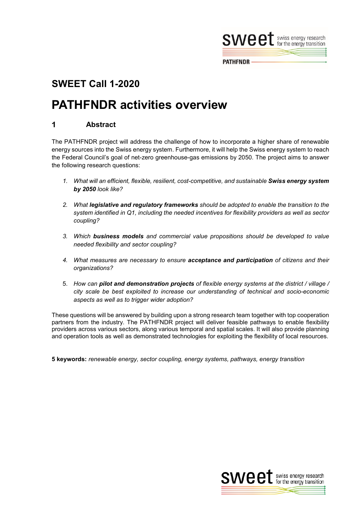

**PATHFNDR** 

## **SWEET Call 1-2020**

# **PATHFNDR activities overview**

#### 1 **Abstract**

The PATHFNDR project will address the challenge of how to incorporate a higher share of renewable energy sources into the Swiss energy system. Furthermore, it will help the Swiss energy system to reach the Federal Council's goal of net-zero greenhouse-gas emissions by 2050. The project aims to answer the following research questions:

- 1. What will an efficient, flexible, resilient, cost-competitive, and sustainable **Swiss energy system** *by 2050 look like?*
- *2. What legislative and regulatory frameworks should be adopted to enable the transition to the system identified in Q1, including the needed incentives for flexibility providers as well as sector coupling?*
- *3. Which business models and commercial value propositions should be developed to value needed flexibility and sector coupling?*
- *4. What measures are necessary to ensure acceptance and participation of citizens and their organizations?*
- 5. *How can pilot and demonstration projects of flexible energy systems at the district / village / city scale be best exploited to increase our understanding of technical and socio-economic aspects as well as to trigger wider adoption?*

These questions will be answered by building upon a strong research team together with top cooperation partners from the industry. The PATHFNDR project will deliver feasible pathways to enable flexibility providers across various sectors, along various temporal and spatial scales. It will also provide planning and operation tools as well as demonstrated technologies for exploiting the flexibility of local resources.

**5 keywords:** *renewable energy, sector coupling, energy systems, pathways, energy transition*

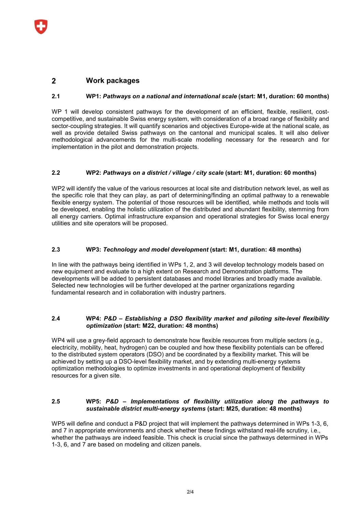#### $\mathbf{z}$ **Work packages**

#### **2.1 WP1:** *Pathways on a national and international scale* **(start: M1, duration: 60 months)**

WP 1 will develop consistent pathways for the development of an efficient, flexible, resilient, costcompetitive, and sustainable Swiss energy system, with consideration of a broad range of flexibility and sector-coupling strategies. It will quantify scenarios and objectives Europe-wide at the national scale, as well as provide detailed Swiss pathways on the cantonal and municipal scales. It will also deliver methodological advancements for the multi-scale modelling necessary for the research and for implementation in the pilot and demonstration projects.

#### **2.2 WP2:** *Pathways on a district / village / city scale* **(start: M1, duration: 60 months)**

WP2 will identify the value of the various resources at local site and distribution network level, as well as the specific role that they can play, as part of determining/finding an optimal pathway to a renewable flexible energy system. The potential of those resources will be identified, while methods and tools will be developed, enabling the holistic utilization of the distributed and abundant flexibility, stemming from all energy carriers. Optimal infrastructure expansion and operational strategies for Swiss local energy utilities and site operators will be proposed.

#### **2.3 WP3:** *Technology and model development* **(start: M1, duration: 48 months)**

In line with the pathways being identified in WPs 1, 2, and 3 will develop technology models based on new equipment and evaluate to a high extent on Research and Demonstration platforms. The developments will be added to persistent databases and model libraries and broadly made available. Selected new technologies will be further developed at the partner organizations regarding fundamental research and in collaboration with industry partners.

#### **2.4 WP4:** *P&D – Establishing a DSO flexibility market and piloting site-level flexibility optimization* **(start: M22, duration: 48 months)**

WP4 will use a grey-field approach to demonstrate how flexible resources from multiple sectors (e.g., electricity, mobility, heat, hydrogen) can be coupled and how these flexibility potentials can be offered to the distributed system operators (DSO) and be coordinated by a flexibility market. This will be achieved by setting up a DSO-level flexibility market, and by extending multi-energy systems optimization methodologies to optimize investments in and operational deployment of flexibility resources for a given site.

#### **2.5 WP5:** *P&D – Implementations of flexibility utilization along the pathways to sustainable district multi-energy systems* **(start: M25, duration: 48 months)**

WP5 will define and conduct a P&D project that will implement the pathways determined in WPs 1-3, 6, and 7 in appropriate environments and check whether these findings withstand real-life scrutiny, i.e., whether the pathways are indeed feasible. This check is crucial since the pathways determined in WPs 1-3, 6, and 7 are based on modeling and citizen panels.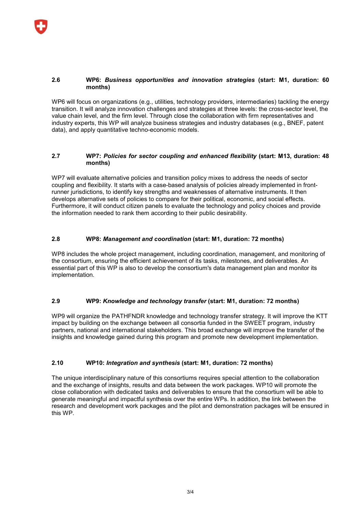### **2.6 WP6:** *Business opportunities and innovation strategies* **(start: M1, duration: 60 months)**

WP6 will focus on organizations (e.g., utilities, technology providers, intermediaries) tackling the energy transition. It will analyze innovation challenges and strategies at three levels: the cross-sector level, the value chain level, and the firm level. Through close the collaboration with firm representatives and industry experts, this WP will analyze business strategies and industry databases (e.g., BNEF, patent data), and apply quantitative techno-economic models.

### **2.7 WP7:** *Policies for sector coupling and enhanced flexibility* **(start: M13, duration: 48 months)**

WP7 will evaluate alternative policies and transition policy mixes to address the needs of sector coupling and flexibility. It starts with a case-based analysis of policies already implemented in frontrunner jurisdictions, to identify key strengths and weaknesses of alternative instruments. It then develops alternative sets of policies to compare for their political, economic, and social effects. Furthermore, it will conduct citizen panels to evaluate the technology and policy choices and provide the information needed to rank them according to their public desirability.

## **2.8 WP8:** *Management and coordination* **(start: M1, duration: 72 months)**

WP8 includes the whole project management, including coordination, management, and monitoring of the consortium, ensuring the efficient achievement of its tasks, milestones, and deliverables. An essential part of this WP is also to develop the consortium's data management plan and monitor its implementation.

### **2.9 WP9:** *Knowledge and technology transfer* **(start: M1, duration: 72 months)**

WP9 will organize the PATHFNDR knowledge and technology transfer strategy. It will improve the KTT impact by building on the exchange between all consortia funded in the SWEET program, industry partners, national and international stakeholders. This broad exchange will improve the transfer of the insights and knowledge gained during this program and promote new development implementation.

## **2.10 WP10:** *Integration and synthesis* **(start: M1, duration: 72 months)**

The unique interdisciplinary nature of this consortiums requires special attention to the collaboration and the exchange of insights, results and data between the work packages. WP10 will promote the close collaboration with dedicated tasks and deliverables to ensure that the consortium will be able to generate meaningful and impactful synthesis over the entire WPs. In addition, the link between the research and development work packages and the pilot and demonstration packages will be ensured in this WP.